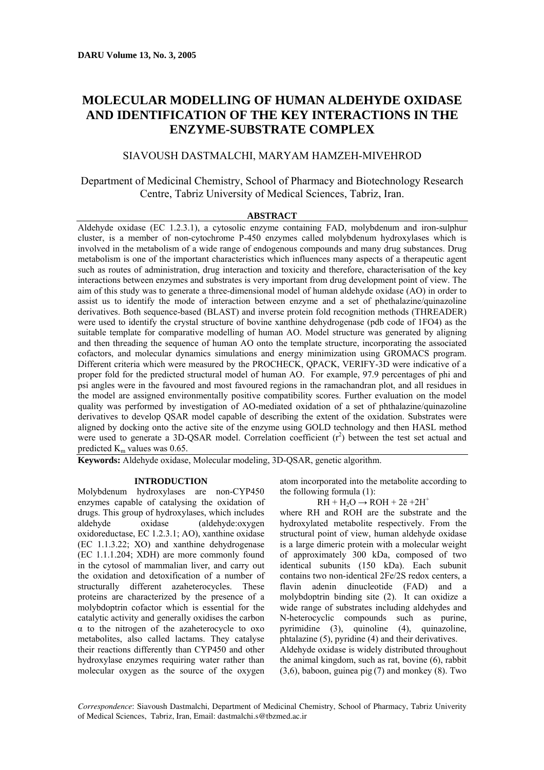# **MOLECULAR MODELLING OF HUMAN ALDEHYDE OXIDASE AND IDENTIFICATION OF THE KEY INTERACTIONS IN THE ENZYME-SUBSTRATE COMPLEX**

# SIAVOUSH DASTMALCHI, MARYAM HAMZEH-MIVEHROD

# Department of Medicinal Chemistry, School of Pharmacy and Biotechnology Research Centre, Tabriz University of Medical Sciences, Tabriz, Iran.

## **ABSTRACT**

Aldehyde oxidase (EC 1.2.3.1), a cytosolic enzyme containing FAD, molybdenum and iron-sulphur cluster, is a member of non-cytochrome P-450 enzymes called molybdenum hydroxylases which is involved in the metabolism of a wide range of endogenous compounds and many drug substances. Drug metabolism is one of the important characteristics which influences many aspects of a therapeutic agent such as routes of administration, drug interaction and toxicity and therefore, characterisation of the key interactions between enzymes and substrates is very important from drug development point of view. The aim of this study was to generate a three-dimensional model of human aldehyde oxidase (AO) in order to assist us to identify the mode of interaction between enzyme and a set of phethalazine/quinazoline derivatives. Both sequence-based (BLAST) and inverse protein fold recognition methods (THREADER) were used to identify the crystal structure of bovine xanthine dehydrogenase (pdb code of 1FO4) as the suitable template for comparative modelling of human AO. Model structure was generated by aligning and then threading the sequence of human AO onto the template structure, incorporating the associated cofactors, and molecular dynamics simulations and energy minimization using GROMACS program. Different criteria which were measured by the PROCHECK, QPACK, VERIFY-3D were indicative of a proper fold for the predicted structural model of human AO. For example, 97.9 percentages of phi and psi angles were in the favoured and most favoured regions in the ramachandran plot, and all residues in the model are assigned environmentally positive compatibility scores. Further evaluation on the model quality was performed by investigation of AO-mediated oxidation of a set of phthalazine/quinazoline derivatives to develop QSAR model capable of describing the extent of the oxidation. Substrates were aligned by docking onto the active site of the enzyme using GOLD technology and then HASL method were used to generate a 3D-QSAR model. Correlation coefficient  $(r^2)$  between the test set actual and predicted  $K<sub>m</sub>$  values was 0.65.

**Keywords:** Aldehyde oxidase, Molecular modeling, 3D-QSAR, genetic algorithm.

# **INTRODUCTION**

Molybdenum hydroxylases are non-CYP450 enzymes capable of catalysing the oxidation of drugs. This group of hydroxylases, which includes aldehyde oxidase (aldehyde:oxygen oxidoreductase, EC 1.2.3.1; AO), xanthine oxidase (EC 1.1.3.22; XO) and xanthine dehydrogenase (EC 1.1.1.204; XDH) are more commonly found in the cytosol of mammalian liver, and carry out the oxidation and detoxification of a number of structurally different azaheterocycles. These proteins are characterized by the presence of a molybdoptrin cofactor which is essential for the catalytic activity and generally oxidises the carbon  $\alpha$  to the nitrogen of the azaheterocycle to oxo metabolites, also called lactams. They catalyse their reactions differently than CYP450 and other hydroxylase enzymes requiring water rather than molecular oxygen as the source of the oxygen

atom incorporated into the metabolite according to the following formula (1):

 $RH + H_2O \rightarrow ROH + 2\bar{e} + 2H^+$ 

where RH and ROH are the substrate and the hydroxylated metabolite respectively. From the structural point of view, human aldehyde oxidase is a large dimeric protein with a molecular weight of approximately 300 kDa, composed of two identical subunits (150 kDa). Each subunit contains two non-identical 2Fe/2S redox centers, a flavin adenin dinucleotide (FAD) and a molybdoptrin binding site (2). It can oxidize a wide range of substrates including aldehydes and N-heterocyclic compounds such as purine, pyrimidine (3), quinoline (4), quinazoline, phtalazine (5), pyridine (4) and their derivatives. Aldehyde oxidase is widely distributed throughout the animal kingdom, such as rat, bovine (6), rabbit (3,6), baboon, guinea pig (7) and monkey (8). Two

*Correspondence*: Siavoush Dastmalchi, Department of Medicinal Chemistry, School of Pharmacy, Tabriz Univerity of Medical Sciences, Tabriz, Iran, Email: dastmalchi.s@tbzmed.ac.ir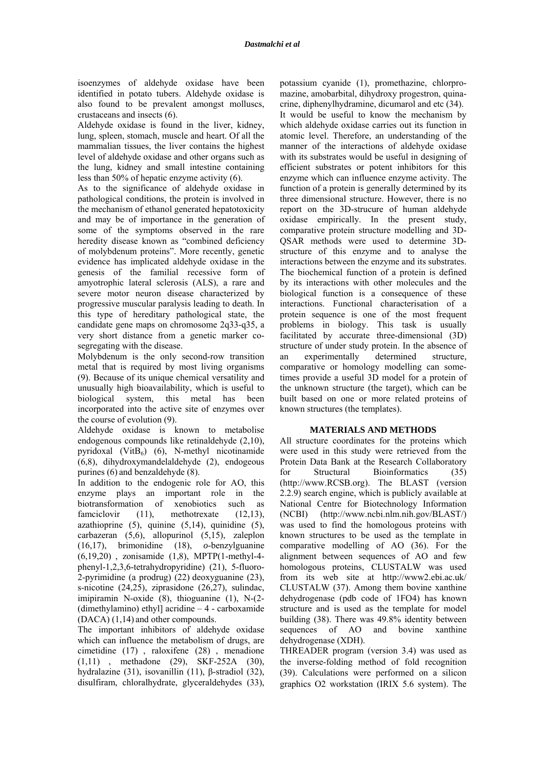isoenzymes of aldehyde oxidase have been identified in potato tubers. Aldehyde oxidase is also found to be prevalent amongst molluscs, crustaceans and insects (6).

Aldehyde oxidase is found in the liver, kidney, lung, spleen, stomach, muscle and heart. Of all the mammalian tissues, the liver contains the highest level of aldehyde oxidase and other organs such as the lung, kidney and small intestine containing less than 50% of hepatic enzyme activity (6).

As to the significance of aldehyde oxidase in pathological conditions, the protein is involved in the mechanism of ethanol generated hepatotoxicity and may be of importance in the generation of some of the symptoms observed in the rare heredity disease known as "combined deficiency of molybdenum proteins". More recently, genetic evidence has implicated aldehyde oxidase in the genesis of the familial recessive form of amyotrophic lateral sclerosis (ALS), a rare and severe motor neuron disease characterized by progressive muscular paralysis leading to death. In this type of hereditary pathological state, the candidate gene maps on chromosome 2q33-q35, a very short distance from a genetic marker cosegregating with the disease.

Molybdenum is the only second-row transition metal that is required by most living organisms (9). Because of its unique chemical versatility and unusually high bioavailability, which is useful to biological system, this metal has been incorporated into the active site of enzymes over the course of evolution (9).

Aldehyde oxidase is known to metabolise endogenous compounds like retinaldehyde (2,10), pyridoxal (Vit $B_6$ ) (6), N-methyl nicotinamide (6,8), dihydroxymandelaldehyde (2), endogeous purines (6) and benzaldehyde (8).

In addition to the endogenic role for AO, this enzyme plays an important role in the biotransformation of xenobiotics such as famciclovir (11), methotrexate (12,13), azathioprine (5), quinine (5,14), quinidine (5), carbazeran (5,6), allopurinol (5,15), zaleplon (16,17), brimonidine (18), *o*-benzylguanine (6,19,20) , zonisamide (1,8), MPTP(1-methyl-4 phenyl-1,2,3,6-tetrahydropyridine) (21), 5-fluoro-2-pyrimidine (a prodrug) (22) deoxyguanine (23), s-nicotine (24,25), ziprasidone (26,27), sulindac, imipiramin N-oxide (8), thioguanine (1), N-(2- (dimethylamino) ethyl] acridine – 4 - carboxamide (DACA) (1,14) and other compounds.

The important inhibitors of aldehyde oxidase which can influence the metabolism of drugs, are cimetidine (17) , raloxifene (28) , menadione (1,11) , methadone (29), SKF-252A (30), hydralazine (31), isovanillin (11), β-stradiol (32), disulfiram, chloralhydrate, glyceraldehydes (33),

potassium cyanide (1), promethazine, chlorpromazine, amobarbital, dihydroxy progestron, quinacrine, diphenylhydramine, dicumarol and etc (34). It would be useful to know the mechanism by which aldehyde oxidase carries out its function in atomic level. Therefore, an understanding of the manner of the interactions of aldehyde oxidase with its substrates would be useful in designing of efficient substrates or potent inhibitors for this enzyme which can influence enzyme activity. The function of a protein is generally determined by its three dimensional structure. However, there is no report on the 3D-strucure of human aldehyde oxidase empirically. In the present study, comparative protein structure modelling and 3D-QSAR methods were used to determine 3Dstructure of this enzyme and to analyse the interactions between the enzyme and its substrates. The biochemical function of a protein is defined by its interactions with other molecules and the biological function is a consequence of these interactions. Functional characterisation of a protein sequence is one of the most frequent problems in biology. This task is usually facilitated by accurate three-dimensional (3D) structure of under study protein. In the absence of an experimentally determined structure, comparative or homology modelling can sometimes provide a useful 3D model for a protein of the unknown structure (the target), which can be built based on one or more related proteins of known structures (the templates).

# **MATERIALS AND METHODS**

All structure coordinates for the proteins which were used in this study were retrieved from the Protein Data Bank at the Research Collaboratory for Structural Bioinformatics (35) (http://www.RCSB.org). The BLAST (version 2.2.9) search engine, which is publicly available at National Centre for Biotechnology Information (NCBI) (http://www.ncbi.nlm.nih.gov/BLAST/) was used to find the homologous proteins with known structures to be used as the template in comparative modelling of AO (36). For the alignment between sequences of AO and few homologous proteins, CLUSTALW was used from its web site at http://www2.ebi.ac.uk/ CLUSTALW (37). Among them bovine xanthine dehydrogenase (pdb code of 1FO4) has known structure and is used as the template for model building (38). There was 49.8% identity between sequences of AO and bovine xanthine dehydrogenase (XDH).

THREADER program (version 3.4) was used as the inverse-folding method of fold recognition (39). Calculations were performed on a silicon graphics O2 workstation (IRIX 5.6 system). The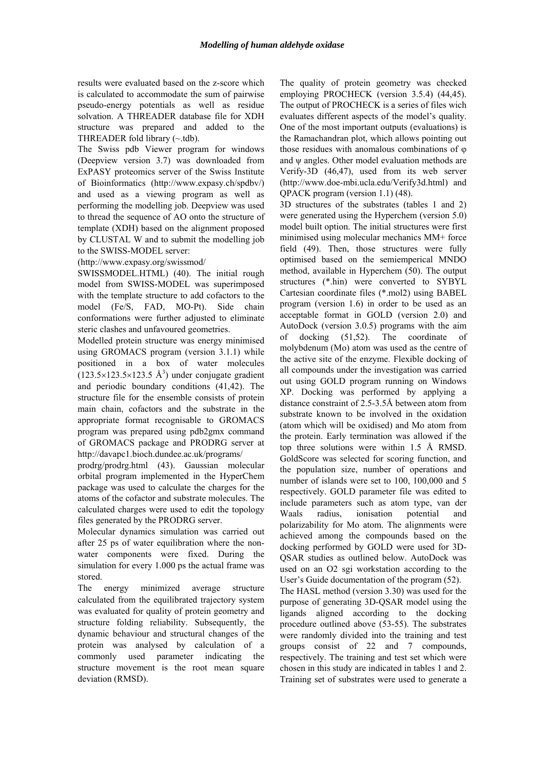results were evaluated based on the z-score which is calculated to accommodate the sum of pairwise pseudo-energy potentials as well as residue solvation. A THREADER database file for XDH structure was prepared and added to the THREADER fold library  $(\sim$ tdb).

The Swiss pdb Viewer program for windows (Deepview version 3.7) was downloaded from ExPASY proteomics server of the Swiss Institute of Bioinformatics (http://www.expasy.ch/spdbv/) and used as a viewing program as well as performing the modelling job. Deepview was used to thread the sequence of AO onto the structure of template (XDH) based on the alignment proposed by CLUSTAL W and to submit the modelling job to the SWISS-MODEL server:

(http://www.expasy.org/swissmod/

SWISSMODEL.HTML) (40). The initial rough model from SWISS-MODEL was superimposed with the template structure to add cofactors to the model (Fe/S, FAD, MO-Pt). Side chain conformations were further adjusted to eliminate steric clashes and unfavoured geometries.

Modelled protein structure was energy minimised using GROMACS program (version 3.1.1) while positioned in a box of water molecules  $(123.5\times123.5\times123.5 \text{ Å}^3)$  under conjugate gradient and periodic boundary conditions (41,42). The structure file for the ensemble consists of protein main chain, cofactors and the substrate in the appropriate format recognisable to GROMACS program was prepared using pdb2gmx command of GROMACS package and PRODRG server at http://davapc1.bioch.dundee.ac.uk/programs/

prodrg/prodrg.html (43). Gaussian molecular orbital program implemented in the HyperChem package was used to calculate the charges for the atoms of the cofactor and substrate molecules. The calculated charges were used to edit the topology files generated by the PRODRG server.

Molecular dynamics simulation was carried out after 25 ps of water equilibration where the nonwater components were fixed. During the simulation for every 1.000 ps the actual frame was stored.

The energy minimized average structure calculated from the equilibrated trajectory system was evaluated for quality of protein geometry and structure folding reliability. Subsequently, the dynamic behaviour and structural changes of the protein was analysed by calculation of a commonly used parameter indicating the structure movement is the root mean square deviation (RMSD).

The quality of protein geometry was checked employing PROCHECK (version 3.5.4) (44,45). The output of PROCHECK is a series of files wich evaluates different aspects of the model's quality. One of the most important outputs (evaluations) is the Ramachandran plot, which allows pointing out those residues with anomalous combinations of φ and  $\psi$  angles. Other model evaluation methods are Verify-3D (46,47), used from its web server (http://www.doe-mbi.ucla.edu/Verify3d.html) and QPACK program (version 1.1) (48).

3D structures of the substrates (tables 1 and 2) were generated using the Hyperchem (version 5.0) model built option. The initial structures were first minimised using molecular mechanics MM+ force field (49). Then, those structures were fully optimised based on the semiemperical MNDO method, available in Hyperchem (50). The output structures (\*.hin) were converted to SYBYL Cartesian coordinate files (\*.mol2) using BABEL program (version 1.6) in order to be used as an acceptable format in GOLD (version 2.0) and AutoDock (version 3.0.5) programs with the aim of docking (51,52). The coordinate of molybdenum (Mo) atom was used as the centre of the active site of the enzyme. Flexible docking of all compounds under the investigation was carried out using GOLD program running on Windows XP. Docking was performed by applying a distance constraint of 2.5-3.5Å between atom from substrate known to be involved in the oxidation (atom which will be oxidised) and Mo atom from the protein. Early termination was allowed if the top three solutions were within 1.5 Å RMSD. GoldScore was selected for scoring function, and the population size, number of operations and number of islands were set to 100, 100,000 and 5 respectively. GOLD parameter file was edited to include parameters such as atom type, van der Waals radius, ionisation potential and polarizability for Mo atom. The alignments were achieved among the compounds based on the docking performed by GOLD were used for 3D-QSAR studies as outlined below. AutoDock was used on an O2 sgi workstation according to the User's Guide documentation of the program (52).

The HASL method (version 3.30) was used for the purpose of generating 3D-QSAR model using the ligands aligned according to the docking procedure outlined above (53-55). The substrates were randomly divided into the training and test groups consist of 22 and 7 compounds, respectively. The training and test set which were chosen in this study are indicated in tables 1 and 2. Training set of substrates were used to generate a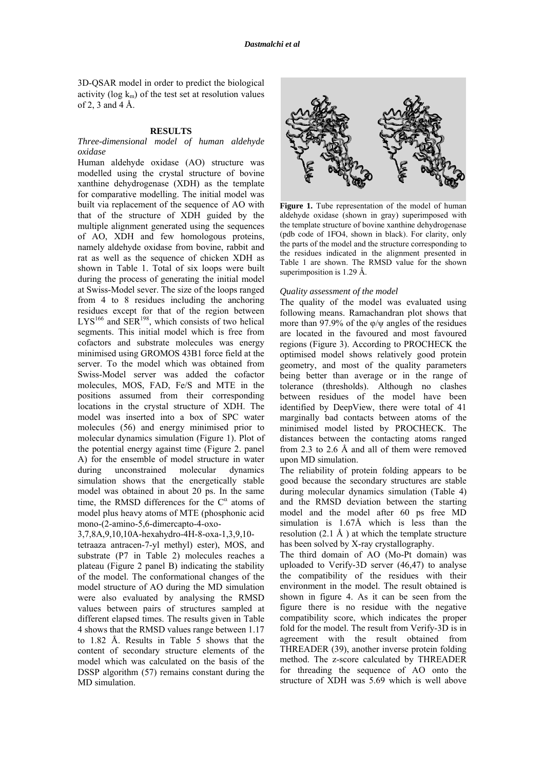3D-QSAR model in order to predict the biological activity ( $log k_m$ ) of the test set at resolution values of 2, 3 and 4 Å.

### **RESULTS**

### *Three-dimensional model of human aldehyde oxidase*

Human aldehyde oxidase (AO) structure was modelled using the crystal structure of bovine xanthine dehydrogenase (XDH) as the template for comparative modelling. The initial model was built via replacement of the sequence of AO with that of the structure of XDH guided by the multiple alignment generated using the sequences of AO, XDH and few homologous proteins, namely aldehyde oxidase from bovine, rabbit and rat as well as the sequence of chicken XDH as shown in Table 1. Total of six loops were built during the process of generating the initial model at Swiss-Model sever. The size of the loops ranged from 4 to 8 residues including the anchoring residues except for that of the region between  $LYS^{166}$  and  $SER^{198}$ , which consists of two helical segments. This initial model which is free from cofactors and substrate molecules was energy minimised using GROMOS 43B1 force field at the server. To the model which was obtained from Swiss-Model server was added the cofactor molecules, MOS, FAD, Fe/S and MTE in the positions assumed from their corresponding locations in the crystal structure of XDH. The model was inserted into a box of SPC water molecules (56) and energy minimised prior to molecular dynamics simulation (Figure 1). Plot of the potential energy against time (Figure 2. panel A) for the ensemble of model structure in water during unconstrained molecular dynamics simulation shows that the energetically stable model was obtained in about 20 ps. In the same time, the RMSD differences for the  $C^{\alpha}$  atoms of model plus heavy atoms of MTE (phosphonic acid mono-(2-amino-5,6-dimercapto-4-oxo-

3,7,8A,9,10,10A-hexahydro-4H-8-oxa-1,3,9,10-

tetraaza antracen-7-yl methyl) ester), MOS, and substrate (P7 in Table 2) molecules reaches a plateau (Figure 2 panel B) indicating the stability of the model. The conformational changes of the model structure of AO during the MD simulation were also evaluated by analysing the RMSD values between pairs of structures sampled at different elapsed times. The results given in Table 4 shows that the RMSD values range between 1.17 to 1.82 Å. Results in Table 5 shows that the content of secondary structure elements of the model which was calculated on the basis of the DSSP algorithm (57) remains constant during the MD simulation.



Figure 1. Tube representation of the model of human aldehyde oxidase (shown in gray) superimposed with the template structure of bovine xanthine dehydrogenase (pdb code of 1FO4, shown in black). For clarity, only the parts of the model and the structure corresponding to the residues indicated in the alignment presented in Table 1 are shown. The RMSD value for the shown superimposition is 1.29 Å.

### *Quality assessment of the model*

The quality of the model was evaluated using following means. Ramachandran plot shows that more than 97.9% of the  $\varphi/\psi$  angles of the residues are located in the favoured and most favoured regions (Figure 3). According to PROCHECK the optimised model shows relatively good protein geometry, and most of the quality parameters being better than average or in the range of tolerance (thresholds). Although no clashes between residues of the model have been identified by DeepView, there were total of 41 marginally bad contacts between atoms of the minimised model listed by PROCHECK. The distances between the contacting atoms ranged from 2.3 to 2.6 Å and all of them were removed upon MD simulation.

The reliability of protein folding appears to be good because the secondary structures are stable during molecular dynamics simulation (Table 4) and the RMSD deviation between the starting model and the model after 60 ps free MD simulation is 1.67Å which is less than the resolution  $(2.1 \text{ Å})$  at which the template structure has been solved by X-ray crystallography.

The third domain of AO (Mo-Pt domain) was uploaded to Verify-3D server (46,47) to analyse the compatibility of the residues with their environment in the model. The result obtained is shown in figure 4. As it can be seen from the figure there is no residue with the negative compatibility score, which indicates the proper fold for the model. The result from Verify-3D is in agreement with the result obtained from THREADER (39), another inverse protein folding method. The z-score calculated by THREADER for threading the sequence of AO onto the structure of XDH was 5.69 which is well above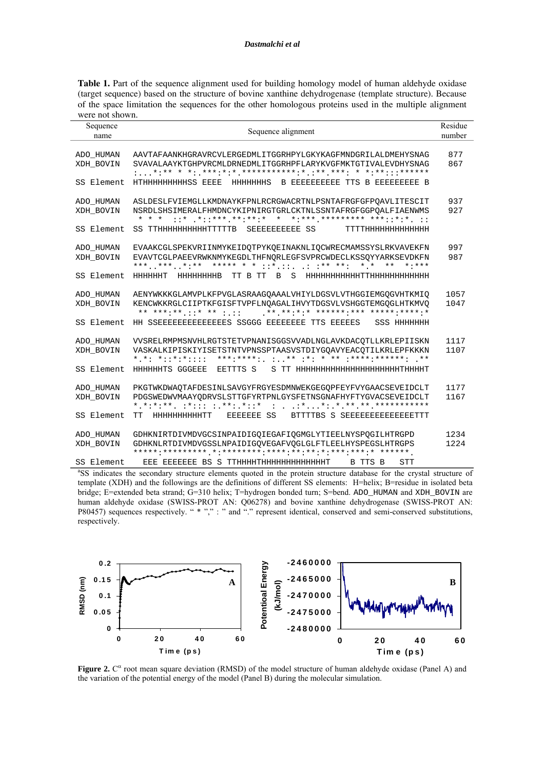Table 1. Part of the sequence alignment used for building homology model of human aldehyde oxidase (target sequence) based on the structure of bovine xanthine dehydrogenase (template structure). Because of the space limitation the sequences for the other homologous proteins used in the multiple alignment were not shown.

| Sequence                             | Residue<br>Sequence alignment                                                                                                                                                               |              |
|--------------------------------------|---------------------------------------------------------------------------------------------------------------------------------------------------------------------------------------------|--------------|
| name                                 |                                                                                                                                                                                             | number       |
| ADO HUMAN<br>XDH BOVIN               | AAVTAFAANKHGRAVRCVLERGEDMLITGGRHPYLGKYKAGFMNDGRILALDMEHYSNAG<br>SVAVALAAYKTGHPVRCMLDRNEDMLITGGRHPFLARYKVGFMKTGTIVALEVDHYSNAG                                                                | 877<br>867   |
| SS Element                           | HTHHHHHHHHHSS EEEE HHHHHHHS B EEEEEEEEEE TTS B EEEEEEEEE B                                                                                                                                  |              |
| ADO HUMAN<br>XDH BOVIN               | ASLDESLFVIEMGLLKMDNAYKFPNLRCRGWACRTNLPSNTAFRGFGFPOAVLITESCIT<br>NSRDLSHSIMERALFHMDNCYKIPNIRGTGRLCKTNLSSNTAFRGFGGPOALFIAENWMS<br>* * *                                                       | 937<br>927   |
| SS Element                           | SS TTHHHHHHHHHHTTTTTB SEEEEEEEEEE SS TTTTHHHHHHHHHHHHH                                                                                                                                      |              |
| ADO HUMAN<br>XDH BOVIN               | EVAAKCGLSPEKVRIINMYKEIDQTPYKQEINAKNLIQCWRECMAMSSYSLRKVAVEKFN<br>EVAVTCGLPAEEVRWKNMYKEGDLTHFNORLEGFSVPRCWDECLKSSOYYARKSEVDKFN<br>*** *** *:** ***** * * ::* ::** **: * * **<br>$* : * * * *$ | 997<br>987   |
| SS Element                           |                                                                                                                                                                                             |              |
| ADO_HUMAN<br>XDH BOVIN               | AENYWKKKGLAMVPLKFPVGLASRAAGQAAALVHIYLDGSVLVTHGGIEMGQGVHTKMIQ<br>KENCWKKRGLCIIPTKFGISFTVPFLNOAGALIHVYTDGSVLVSHGGTEMGOGLHTKMVO<br>** ***:** .::* ** : .::** **:*:* *******:*** ******:*****:* | 1057<br>1047 |
| SS Element                           | HH SSEEEEEEEEEEEEEES SSGGG EEEEEEEE TTS EEEEES SSS HHHHHHH                                                                                                                                  |              |
| ADO HUMAN<br>XDH BOVIN<br>SS Element | VVSRELRMPMSNVHLRGTSTETVPNANISGGSVVADLNGLAVKDACQTLLKRLEPIISKN<br>VASKALKIPISKIYISETSTNTVPNSSPTAASVSTDIYGOAVYEACOTILKRLEPFKKKN<br>* *: *: *::*:*:::: ***:****: ** . * * . ** . ****:***** **  | 1117<br>1107 |
|                                      |                                                                                                                                                                                             |              |
| ADO_HUMAN<br>XDH BOVIN               | PKGTWKDWAQTAFDESINLSAVGYFRGYESDMNWEKGEGQPFEYFVYGAACSEVEIDCLT<br>PDGSWEDWVMAAYODRVSLSTTGFYRTPNLGYSFETNSGNAFHYFTYGVACSEVEIDCLT                                                                | 1177<br>1167 |
| SS Element                           | TT HHHHHHHHHTT EEEEEEE SS BTTTTBS S SEEEEEEEEEEEEETTT                                                                                                                                       |              |
| ADO_HUMAN<br>XDH BOVIN               | GDHKNIRTDIVMDVGCSINPAIDIGQIEGAFIQGMGLYTIEELNYSPQGILHTRGPD<br>GDHKNLRTDIVMDVGSSLNPAIDIGOVEGAFVOGLGLFTLEELHYSPEGSLHTRGPS                                                                      | 1234<br>1224 |
| SS Element<br>$200 \times 10^{-1}$   | EEE EEEEEEE BS S TTHHHHTHHHHHHHHHHHHT B TTS B<br><b>STT</b>                                                                                                                                 |              |

<sup>a</sup>SS indicates the secondary structure elements quoted in the protein structure database for the crystal structure of template (XDH) and the followings are the definitions of different SS elements: H=helix; B=residue in isolated beta bridge; E=extended beta strand; G=310 helix; T=hydrogen bonded turn; S=bend. ADO\_HUMAN and XDH\_BOVIN are human aldehyde oxidase (SWISS-PROT AN: Q06278) and bovine xanthine dehydrogenase (SWISS-PROT AN: P80457) sequences respectively. "\*",": " and "." represent identical, conserved and semi-conserved substitutions, respectively.



Figure 2.  $C^{\alpha}$  root mean square deviation (RMSD) of the model structure of human aldehyde oxidase (Panel A) and the variation of the potential energy of the model (Panel B) during the molecular simulation.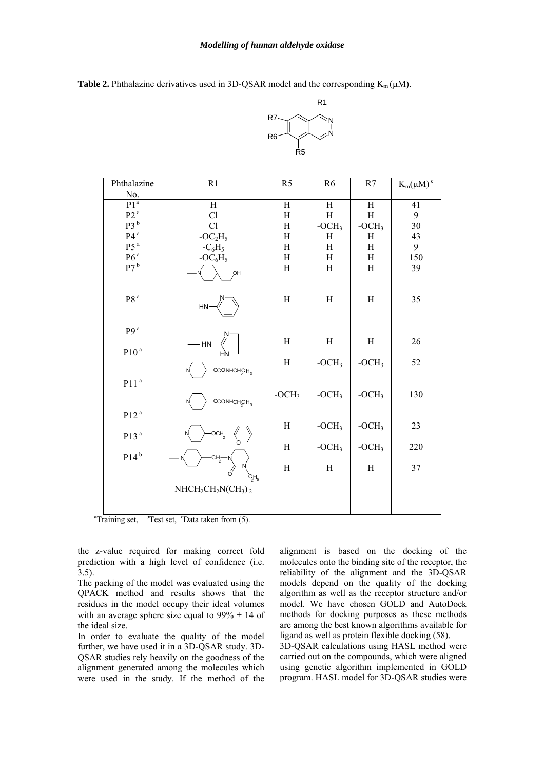**Table 2.** Phthalazine derivatives used in 3D-QSAR model and the corresponding  $K_m(\mu M)$ .



| Phthalazine                 | R1                                             | R <sub>5</sub> | R <sub>6</sub> | R7      | $K_m(\mu M)^c$ |
|-----------------------------|------------------------------------------------|----------------|----------------|---------|----------------|
| No.                         |                                                |                |                |         |                |
| P1 <sup>a</sup>             | $\overline{H}$                                 | $\rm H$        | $\rm H$        | $\rm H$ | 41             |
| P2 <sup>a</sup>             | Cl                                             | H              | H              | H       | 9              |
| P3 <sup>b</sup>             | Cl                                             | H              | $-OCH3$        | $-OCH3$ | $30\,$         |
| P4 <sup>a</sup>             | $-OC2H5$                                       | $\rm H$        | H              | H       | 43             |
| P5 <sup>a</sup>             | $-C_6H_5$                                      | H              | H              | H       | 9              |
| P6 <sup>a</sup>             | $-OC_6H_5$                                     | H              | H              | H       | 150            |
| P7 <sup>b</sup>             | OH                                             | H              | $\,$ H         | H       | 39             |
| P8 <sup>a</sup>             | -HN·                                           | H              | H              | H       | 35             |
| p <sub>9</sub> <sup>a</sup> |                                                |                |                |         |                |
| P10 <sup>a</sup>            | $- HN$                                         | H              | H              | H       | 26             |
|                             | OCONHCHCH <sub>3</sub>                         | $\,$ H         | $-OCH3$        | $-OCH3$ | 52             |
| P11 <sup>a</sup>            |                                                |                |                |         |                |
|                             | OCONHCH <sub>S</sub> H <sub>3</sub>            | $-OCH3$        | $-OCH3$        | $-OCH3$ | 130            |
| P12 <sup>a</sup>            |                                                |                |                |         |                |
| P13 <sup>a</sup>            |                                                | H              | $-OCH3$        | $-OCH3$ | 23             |
|                             |                                                | H              | $-OCH3$        | $-OCH3$ | 220            |
| $P14^b$                     | CH <sub>2</sub>                                |                |                |         |                |
|                             | $C_3H_5$                                       | $\rm H$        | H              | H       | 37             |
|                             | $NHCH_2CH_2N(CH_3)_2$                          |                |                |         |                |
|                             |                                                |                |                |         |                |
| bт.<br>ъ.                   | $cm_{\rightarrow}$<br>$1.1 - 0.$<br>$\sqrt{5}$ |                |                |         |                |

 ${}^{\text{a}}$ Training set,  ${}^{\text{b}}$ Test set,  ${}^{\text{c}}$ Data taken from (5).

the z-value required for making correct fold prediction with a high level of confidence (i.e. 3.5).

The packing of the model was evaluated using the QPACK method and results shows that the residues in the model occupy their ideal volumes with an average sphere size equal to  $99\% \pm 14$  of the ideal size.

In order to evaluate the quality of the model further, we have used it in a 3D-QSAR study. 3D-QSAR studies rely heavily on the goodness of the alignment generated among the molecules which were used in the study. If the method of the alignment is based on the docking of the molecules onto the binding site of the receptor, the reliability of the alignment and the 3D-QSAR models depend on the quality of the docking algorithm as well as the receptor structure and/or model. We have chosen GOLD and AutoDock methods for docking purposes as these methods are among the best known algorithms available for ligand as well as protein flexible docking (58).

3D-QSAR calculations using HASL method were carried out on the compounds, which were aligned using genetic algorithm implemented in GOLD program. HASL model for 3D-QSAR studies were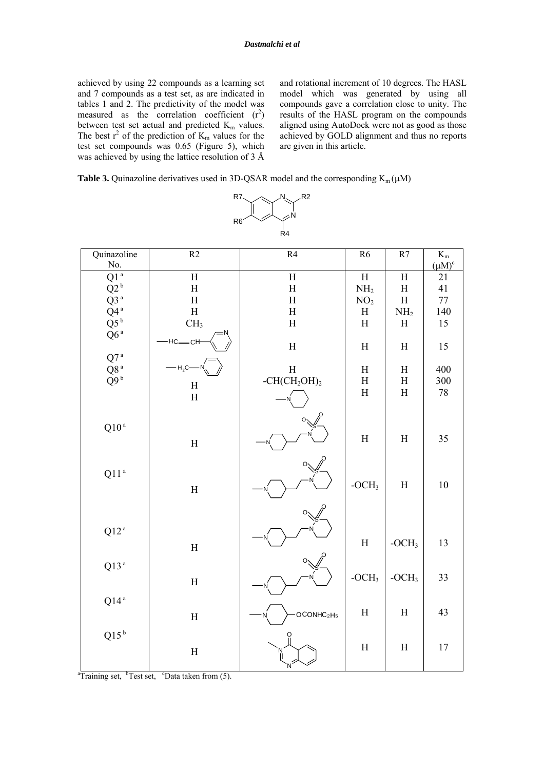achieved by using 22 compounds as a learning set and 7 compounds as a test set, as are indicated in tables 1 and 2. The predictivity of the model was measured as the correlation coefficient  $(r^2)$ between test set actual and predicted  $K<sub>m</sub>$  values. The best  $r^2$  of the prediction of  $K_m$  values for the test set compounds was 0.65 (Figure 5), which was achieved by using the lattice resolution of 3 Å

and rotational increment of 10 degrees. The HASL model which was generated by using all compounds gave a correlation close to unity. The results of the HASL program on the compounds aligned using AutoDock were not as good as those achieved by GOLD alignment and thus no reports are given in this article.

**Table 3.** Quinazoline derivatives used in 3D-QSAR model and the corresponding  $K_m(\mu M)$ 

|                      |                           | K4                                 |                           |                           |                  |
|----------------------|---------------------------|------------------------------------|---------------------------|---------------------------|------------------|
| Quinazoline          | $\overline{R2}$           | R4                                 | R6                        | R7                        | $\overline{K_m}$ |
| No.                  |                           |                                    |                           |                           | $(\mu M)^c$      |
| Q1 <sup>a</sup>      | $\boldsymbol{\mathrm{H}}$ | $\boldsymbol{\mathrm{H}}$          | $\overline{\rm H}$        | $\, {\rm H}$              | 21               |
| $\rm{Q2}$ $^{\rm b}$ | $\rm H$                   | $\rm H$                            | NH <sub>2</sub>           | $\boldsymbol{\mathrm{H}}$ | 41               |
| $Q3^a$               | $\overline{\mathrm{H}}$   | $\rm H$                            | NO <sub>2</sub>           | $\boldsymbol{\mathrm{H}}$ | $77 \,$          |
| $Q4^a$               | $\rm H$                   | $\boldsymbol{\mathrm{H}}$          | $\boldsymbol{\mathrm{H}}$ | NH <sub>2</sub>           | 140              |
| $Q5^b$               | CH <sub>3</sub>           | $\boldsymbol{\mathrm{H}}$          | $\boldsymbol{\mathrm{H}}$ | $\boldsymbol{\mathrm{H}}$ | 15               |
| Q6 <sup>a</sup>      | $-HC$ <sub>-CH</sub>      | $\mathbf H$                        | $\boldsymbol{\mathrm{H}}$ | $\boldsymbol{\mathrm{H}}$ | 15               |
| Q7 <sup>a</sup>      |                           |                                    |                           |                           |                  |
| Q8 <sup>a</sup>      | H <sub>2</sub> C          | $\rm H$                            | $H_{\rm}$                 | $\boldsymbol{\mathrm{H}}$ | 400              |
| $\tilde{Q}9^b$       |                           | $-CH(CH_2OH)_2$                    | $\boldsymbol{\mathrm{H}}$ | $\mathbf H$               | 300              |
|                      | $\mathbf H$               |                                    | $\boldsymbol{\mathrm{H}}$ | $\boldsymbol{\mathrm{H}}$ | $78\,$           |
|                      | $\mathbf H$               |                                    |                           |                           |                  |
|                      |                           |                                    |                           |                           |                  |
| Q10 <sup>a</sup>     |                           |                                    |                           |                           |                  |
|                      | $\rm H$                   |                                    | $\boldsymbol{\mathrm{H}}$ | $\boldsymbol{\mathrm{H}}$ | 35               |
|                      |                           |                                    |                           |                           |                  |
|                      |                           |                                    |                           |                           |                  |
| Q11 <sup>a</sup>     |                           |                                    |                           |                           |                  |
|                      | $\rm H$                   |                                    | $-OCH3$                   | $\boldsymbol{\mathrm{H}}$ | $10\,$           |
|                      |                           |                                    |                           |                           |                  |
|                      |                           |                                    |                           |                           |                  |
|                      |                           |                                    |                           |                           |                  |
| $Q12^{\,a}$          |                           |                                    |                           |                           |                  |
|                      | $\rm H$                   |                                    | $\rm H$                   | $-OCH3$                   | 13               |
|                      |                           |                                    |                           |                           |                  |
| Q13 <sup>a</sup>     |                           |                                    |                           |                           |                  |
|                      | $\rm H$                   |                                    | $-OCH3$                   | $-OCH3$                   | 33               |
|                      |                           |                                    |                           |                           |                  |
| $Q14^a$              |                           |                                    |                           |                           |                  |
|                      | $\rm H$                   | OCONHC <sub>2</sub> H <sub>5</sub> | $\rm H$                   | $\boldsymbol{\mathrm{H}}$ | 43               |
|                      |                           |                                    |                           |                           |                  |
| $Q15^b$              |                           |                                    |                           |                           |                  |
|                      | $\boldsymbol{\mathrm{H}}$ |                                    | $\mathbf H$               | $\mathbf H$               | 17               |
|                      |                           |                                    |                           |                           |                  |
|                      |                           |                                    |                           |                           |                  |



<sup>a</sup>Training set, <sup>b</sup>Test set, <sup>c</sup>Data taken from  $(5)$ .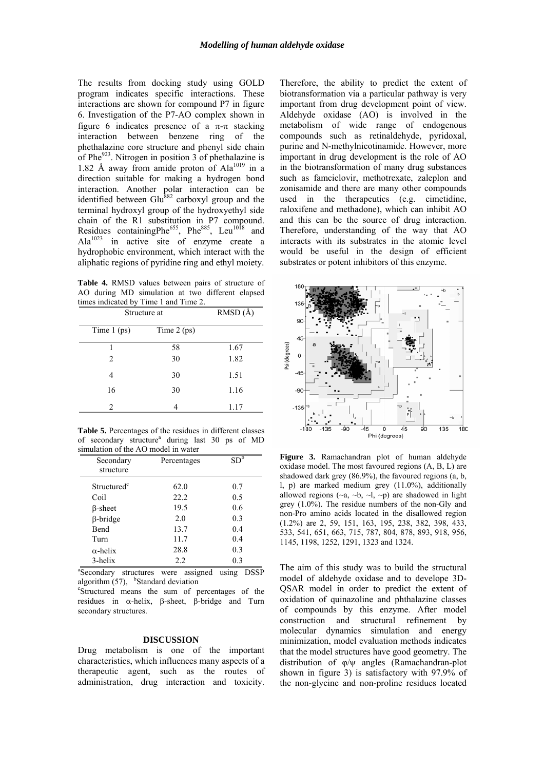The results from docking study using GOLD program indicates specific interactions. These interactions are shown for compound P7 in figure 6. Investigation of the P7-AO complex shown in figure 6 indicates presence of a  $\pi$ - $\pi$  stacking interaction between benzene ring of the phethalazine core structure and phenyl side chain of Phe $923$ . Nitrogen in position 3 of phethalazine is 1.82 Å away from amide proton of  $Ala^{1019}$  in a direction suitable for making a hydrogen bond interaction. Another polar interaction can be identified between  $Glu<sup>882</sup>$  carboxyl group and the terminal hydroxyl group of the hydroxyethyl side chain of the R1 substitution in P7 compound. Residues containingPhe<sup>655</sup>, Phe<sup>885</sup>, Leu<sup>1018</sup> and  $Ala^{1023}$  in active site of enzyme create a hydrophobic environment, which interact with the aliphatic regions of pyridine ring and ethyl moiety.

**Table 4.** RMSD values between pairs of structure of AO during MD simulation at two different elapsed times indicated by Time 1 and Time 2.

| Structure at                | $\overline{\text{RMSD}(\AA)}$ |      |
|-----------------------------|-------------------------------|------|
| Time $1$ (ps)               | Time $2$ (ps)                 |      |
|                             | 58                            | 1.67 |
| $\mathfrak{D}$              | 30                            | 1.82 |
|                             | 30                            | 1.51 |
| 16                          | 30                            | 1.16 |
| $\mathcal{D}_{\mathcal{A}}$ |                               | 1.17 |

**Table 5.** Percentages of the residues in different classes of secondary structure<sup>a</sup> during last 30 ps of MD simulation of the AO model in water

| Secondary<br>structure  | Percentages | $SD^{\overline{b}}$ |
|-------------------------|-------------|---------------------|
| Structured <sup>c</sup> | 62.0        | 0.7                 |
| Coil                    | 22.2        | 0.5                 |
| $\beta$ -sheet          | 19.5        | 0.6                 |
| $\beta$ -bridge         | 2.0         | 0.3                 |
| <b>Bend</b>             | 13.7        | 0.4                 |
| Turn                    | 11.7        | 0.4                 |
| $\alpha$ -helix         | 28.8        | 0.3                 |
| 3-helix                 | 2.2         | 0.3                 |

<sup>a</sup>Secondary structures were assigned using DSSP algorithm  $(57)$ , <sup>b</sup>Standard deviation

Structured means the sum of percentages of the residues in α-helix, β-sheet, β-bridge and Turn secondary structures.

#### **DISCUSSION**

Drug metabolism is one of the important characteristics, which influences many aspects of a therapeutic agent, such as the routes of administration, drug interaction and toxicity.

Therefore, the ability to predict the extent of biotransformation via a particular pathway is very important from drug development point of view. Aldehyde oxidase (AO) is involved in the metabolism of wide range of endogenous compounds such as retinaldehyde, pyridoxal, purine and N-methylnicotinamide. However, more important in drug development is the role of AO in the biotransformation of many drug substances such as famciclovir, methotrexate, zaleplon and zonisamide and there are many other compounds used in the therapeutics (e.g. cimetidine, raloxifene and methadone), which can inhibit AO and this can be the source of drug interaction. Therefore, understanding of the way that AO interacts with its substrates in the atomic level would be useful in the design of efficient substrates or potent inhibitors of this enzyme.



**Figure 3.** Ramachandran plot of human aldehyde oxidase model. The most favoured regions (A, B, L) are shadowed dark grey (86.9%), the favoured regions (a, b, l, p) are marked medium grey (11.0%), additionally allowed regions ( $\sim a$ ,  $\sim b$ ,  $\sim l$ ,  $\sim p$ ) are shadowed in light grey (1.0%). The residue numbers of the non-Gly and non-Pro amino acids located in the disallowed region (1.2%) are 2, 59, 151, 163, 195, 238, 382, 398, 433, 533, 541, 651, 663, 715, 787, 804, 878, 893, 918, 956, 1145, 1198, 1252, 1291, 1323 and 1324.

The aim of this study was to build the structural model of aldehyde oxidase and to develope 3D-QSAR model in order to predict the extent of oxidation of quinazoline and phthalazine classes of compounds by this enzyme. After model construction and structural refinement by molecular dynamics simulation and energy minimization, model evaluation methods indicates that the model structures have good geometry. The distribution of φ/ψ angles (Ramachandran-plot shown in figure 3) is satisfactory with 97.9% of the non-glycine and non-proline residues located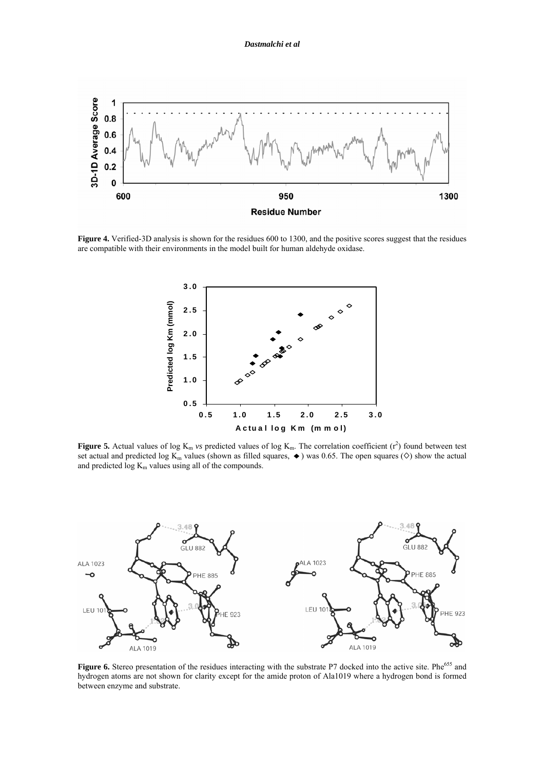

**Figure 4.** Verified-3D analysis is shown for the residues 600 to 1300, and the positive scores suggest that the residues are compatible with their environments in the model built for human aldehyde oxidase.



**Figure 5.** Actual values of log  $K_m$  *vs* predicted values of log  $K_m$ . The correlation coefficient  $(r^2)$  found between test set actual and predicted log K<sub>m</sub> values (shown as filled squares,  $\blacklozenge$ ) was 0.65. The open squares (◇) show the actual and predicted  $log K<sub>m</sub>$  values using all of the compounds.



Figure 6. Stereo presentation of the residues interacting with the substrate P7 docked into the active site. Phe<sup>655</sup> and hydrogen atoms are not shown for clarity except for the amide proton of Ala1019 where a hydrogen bond is formed between enzyme and substrate.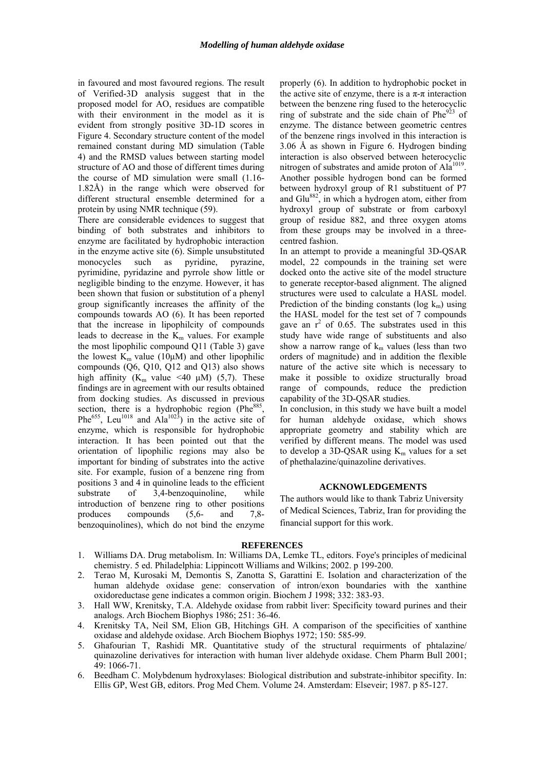in favoured and most favoured regions. The result of Verified-3D analysis suggest that in the proposed model for AO, residues are compatible with their environment in the model as it is evident from strongly positive 3D-1D scores in Figure 4. Secondary structure content of the model remained constant during MD simulation (Table 4) and the RMSD values between starting model structure of AO and those of different times during the course of MD simulation were small (1.16- 1.82Å) in the range which were observed for different structural ensemble determined for a protein by using NMR technique (59).

There are considerable evidences to suggest that binding of both substrates and inhibitors to enzyme are facilitated by hydrophobic interaction in the enzyme active site (6). Simple unsubstituted monocycles such as pyridine, pyrazine, pyrimidine, pyridazine and pyrrole show little or negligible binding to the enzyme. However, it has been shown that fusion or substitution of a phenyl group significantly increases the affinity of the compounds towards AO (6). It has been reported that the increase in lipophilcity of compounds leads to decrease in the  $K<sub>m</sub>$  values. For example the most lipophilic compound Q11 (Table 3) gave the lowest  $K_m$  value (10 $\mu$ M) and other lipophilic compounds (Q6, Q10, Q12 and Q13) also shows high affinity ( $K_m$  value <40  $\mu$ M) (5,7). These findings are in agreement with our results obtained from docking studies. As discussed in previous section, there is a hydrophobic region (Phe<sup>885</sup>) Phe<sup>655</sup>, Leu<sup>1018</sup> and Ala<sup>1023</sup>) in the active site of enzyme, which is responsible for hydrophobic interaction. It has been pointed out that the orientation of lipophilic regions may also be important for binding of substrates into the active site. For example, fusion of a benzene ring from positions 3 and 4 in quinoline leads to the efficient substrate of 3,4-benzoquinoline, while introduction of benzene ring to other positions produces compounds (5,6- and 7,8 benzoquinolines), which do not bind the enzyme

properly (6). In addition to hydrophobic pocket in the active site of enzyme, there is a  $\pi$ -π interaction between the benzene ring fused to the heterocyclic ring of substrate and the side chain of  $Phe^{923}$  of enzyme. The distance between geometric centres of the benzene rings involved in this interaction is 3.06 Å as shown in Figure 6. Hydrogen binding interaction is also observed between heterocyclic nitrogen of substrates and amide proton of Ala<sup>1019</sup>. Another possible hydrogen bond can be formed between hydroxyl group of R1 substituent of P7 and Glu<sup>882</sup>, in which a hydrogen atom, either from hydroxyl group of substrate or from carboxyl group of residue 882, and three oxygen atoms from these groups may be involved in a threecentred fashion.

In an attempt to provide a meaningful 3D-QSAR model, 22 compounds in the training set were docked onto the active site of the model structure to generate receptor-based alignment. The aligned structures were used to calculate a HASL model. Prediction of the binding constants (log  $k_m$ ) using the HASL model for the test set of 7 compounds gave an  $r^2$  of 0.65. The substrates used in this study have wide range of substituents and also show a narrow range of  $k_m$  values (less than two orders of magnitude) and in addition the flexible nature of the active site which is necessary to make it possible to oxidize structurally broad range of compounds, reduce the prediction capability of the 3D-QSAR studies.

In conclusion, in this study we have built a model for human aldehyde oxidase, which shows appropriate geometry and stability which are verified by different means. The model was used to develop a 3D-QSAR using  $K_m$  values for a set of phethalazine/quinazoline derivatives.

### **ACKNOWLEDGEMENTS**

The authors would like to thank Tabriz University of Medical Sciences, Tabriz, Iran for providing the financial support for this work.

### **REFERENCES**

- 1. Williams DA. Drug metabolism. In: Williams DA, Lemke TL, editors. Foye's principles of medicinal chemistry. 5 ed. Philadelphia: Lippincott Williams and Wilkins; 2002. p 199-200.
- 2. Terao M, Kurosaki M, Demontis S, Zanotta S, Garattini E. Isolation and characterization of the human aldehyde oxidase gene: conservation of intron/exon boundaries with the xanthine oxidoreductase gene indicates a common origin. Biochem J 1998; 332: 383-93.
- 3. Hall WW, Krenitsky, T.A. Aldehyde oxidase from rabbit liver: Specificity toward purines and their analogs. Arch Biochem Biophys 1986; 251: 36-46.
- 4. Krenitsky TA, Neil SM, Elion GB, Hitchings GH. A comparison of the specificities of xanthine oxidase and aldehyde oxidase. Arch Biochem Biophys 1972; 150: 585-99.
- 5. Ghafourian T, Rashidi MR. Quantitative study of the structural requirments of phtalazine/ quinazoline derivatives for interaction with human liver aldehyde oxidase. Chem Pharm Bull 2001; 49: 1066-71.
- 6. Beedham C. Molybdenum hydroxylases: Biological distribution and substrate-inhibitor specifity. In: Ellis GP, West GB, editors. Prog Med Chem. Volume 24. Amsterdam: Elseveir; 1987. p 85-127.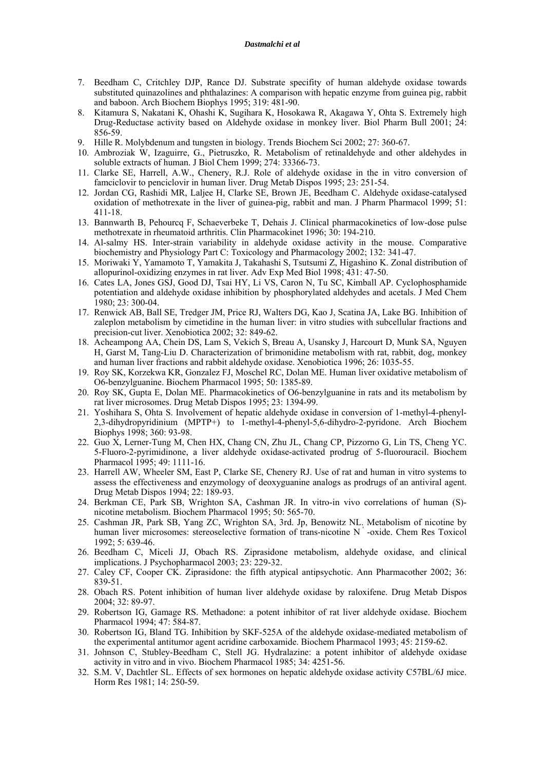#### *Dastmalchi et al*

- 7. Beedham C, Critchley DJP, Rance DJ. Substrate specifity of human aldehyde oxidase towards substituted quinazolines and phthalazines: A comparison with hepatic enzyme from guinea pig, rabbit and baboon. Arch Biochem Biophys 1995; 319: 481-90.
- 8. Kitamura S, Nakatani K, Ohashi K, Sugihara K, Hosokawa R, Akagawa Y, Ohta S. Extremely high Drug-Reductase activity based on Aldehyde oxidase in monkey liver. Biol Pharm Bull 2001; 24: 856-59.
- 9. Hille R. Molybdenum and tungsten in biology. Trends Biochem Sci 2002; 27: 360-67.
- 10. Ambroziak W, Izaguirre, G., Pietruszko, R. Metabolism of retinaldehyde and other aldehydes in soluble extracts of human. J Biol Chem 1999; 274: 33366-73.
- 11. Clarke SE, Harrell, A.W., Chenery, R.J. Role of aldehyde oxidase in the in vitro conversion of famciclovir to penciclovir in human liver. Drug Metab Dispos 1995; 23: 251-54.
- 12. Jordan CG, Rashidi MR, Laljee H, Clarke SE, Brown JE, Beedham C. Aldehyde oxidase-catalysed oxidation of methotrexate in the liver of guinea-pig, rabbit and man. J Pharm Pharmacol 1999; 51: 411-18.
- 13. Bannwarth B, Pehourcq F, Schaeverbeke T, Dehais J. Clinical pharmacokinetics of low-dose pulse methotrexate in rheumatoid arthritis. Clin Pharmacokinet 1996; 30: 194-210.
- 14. Al-salmy HS. Inter-strain variability in aldehyde oxidase activity in the mouse. Comparative biochemistry and Physiology Part C: Toxicology and Pharmacology 2002; 132: 341-47.
- 15. Moriwaki Y, Yamamoto T, Yamakita J, Takahashi S, Tsutsumi Z, Higashino K. Zonal distribution of allopurinol-oxidizing enzymes in rat liver. Adv Exp Med Biol 1998; 431: 47-50.
- 16. Cates LA, Jones GSJ, Good DJ, Tsai HY, Li VS, Caron N, Tu SC, Kimball AP. Cyclophosphamide potentiation and aldehyde oxidase inhibition by phosphorylated aldehydes and acetals. J Med Chem 1980; 23: 300-04.
- 17. Renwick AB, Ball SE, Tredger JM, Price RJ, Walters DG, Kao J, Scatina JA, Lake BG. Inhibition of zaleplon metabolism by cimetidine in the human liver: in vitro studies with subcellular fractions and precision-cut liver. Xenobiotica 2002; 32: 849-62.
- 18. Acheampong AA, Chein DS, Lam S, Vekich S, Breau A, Usansky J, Harcourt D, Munk SA, Nguyen H, Garst M, Tang-Liu D. Characterization of brimonidine metabolism with rat, rabbit, dog, monkey and human liver fractions and rabbit aldehyde oxidase. Xenobiotica 1996; 26: 1035-55.
- 19. Roy SK, Korzekwa KR, Gonzalez FJ, Moschel RC, Dolan ME. Human liver oxidative metabolism of O6-benzylguanine. Biochem Pharmacol 1995; 50: 1385-89.
- 20. Roy SK, Gupta E, Dolan ME. Pharmacokinetics of O6-benzylguanine in rats and its metabolism by rat liver microsomes. Drug Metab Dispos 1995; 23: 1394-99.
- 21. Yoshihara S, Ohta S. Involvement of hepatic aldehyde oxidase in conversion of 1-methyl-4-phenyl-2,3-dihydropyridinium (MPTP+) to 1-methyl-4-phenyl-5,6-dihydro-2-pyridone. Arch Biochem Biophys 1998; 360: 93-98.
- 22. Guo X, Lerner-Tung M, Chen HX, Chang CN, Zhu JL, Chang CP, Pizzorno G, Lin TS, Cheng YC. 5-Fluoro-2-pyrimidinone, a liver aldehyde oxidase-activated prodrug of 5-fluorouracil. Biochem Pharmacol 1995; 49: 1111-16.
- 23. Harrell AW, Wheeler SM, East P, Clarke SE, Chenery RJ. Use of rat and human in vitro systems to assess the effectiveness and enzymology of deoxyguanine analogs as prodrugs of an antiviral agent. Drug Metab Dispos 1994; 22: 189-93.
- 24. Berkman CE, Park SB, Wrighton SA, Cashman JR. In vitro-in vivo correlations of human (S) nicotine metabolism. Biochem Pharmacol 1995; 50: 565-70.
- 25. Cashman JR, Park SB, Yang ZC, Wrighton SA, 3rd. Jp, Benowitz NL. Metabolism of nicotine by human liver microsomes: stereoselective formation of trans-nicotine N<sup>'</sup>-oxide. Chem Res Toxicol 1992; 5: 639-46.
- 26. Beedham C, Miceli JJ, Obach RS. Ziprasidone metabolism, aldehyde oxidase, and clinical implications. J Psychopharmacol 2003; 23: 229-32.
- 27. Caley CF, Cooper CK. Ziprasidone: the fifth atypical antipsychotic. Ann Pharmacother 2002; 36: 839-51.
- 28. Obach RS. Potent inhibition of human liver aldehyde oxidase by raloxifene. Drug Metab Dispos 2004; 32: 89-97.
- 29. Robertson IG, Gamage RS. Methadone: a potent inhibitor of rat liver aldehyde oxidase. Biochem Pharmacol 1994; 47: 584-87.
- 30. Robertson IG, Bland TG. Inhibition by SKF-525A of the aldehyde oxidase-mediated metabolism of the experimental antitumor agent acridine carboxamide. Biochem Pharmacol 1993; 45: 2159-62.
- 31. Johnson C, Stubley-Beedham C, Stell JG. Hydralazine: a potent inhibitor of aldehyde oxidase activity in vitro and in vivo. Biochem Pharmacol 1985; 34: 4251-56.
- 32. S.M. V, Dachtler SL. Effects of sex hormones on hepatic aldehyde oxidase activity C57BL/6J mice. Horm Res 1981; 14: 250-59.